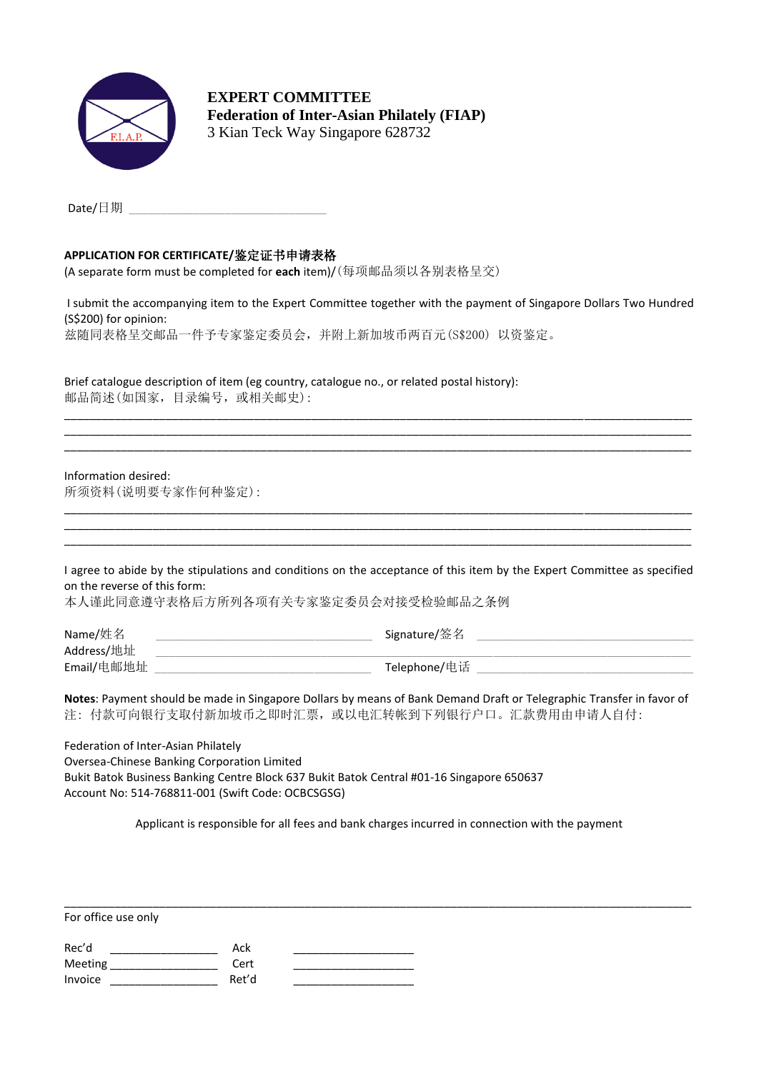

**EXPERT COMMITTEE Federation of Inter-Asian Philately (FIAP)** 3 Kian Teck Way Singapore 628732

 $\mathsf{Date}/\boxplus\emptyset\hspace{-0.04cm}\exists\mathbb{I}$ 

## **APPLICATION FOR CERTIFICATE/**鉴定证书申请表格

(A separate form must be completed for **each** item)/(每项邮品须以各别表格呈交)

I submit the accompanying item to the Expert Committee together with the payment of Singapore Dollars Two Hundred (S\$200) for opinion: 兹随同表格呈交邮品一件予专家鉴定委员会,并附上新加坡币两百元(S\$200) 以资鉴定。

\_\_\_\_\_\_\_\_\_\_\_\_\_\_\_\_\_\_\_\_\_\_\_\_\_\_\_\_\_\_\_\_\_\_\_\_\_\_\_\_\_\_\_\_\_\_\_\_\_\_\_\_\_\_\_\_\_\_\_\_\_\_\_\_\_\_\_\_\_\_\_\_\_\_\_\_\_\_\_\_\_\_\_\_\_\_\_\_\_\_\_\_\_\_\_\_\_\_\_ \_\_\_\_\_\_\_\_\_\_\_\_\_\_\_\_\_\_\_\_\_\_\_\_\_\_\_\_\_\_\_\_\_\_\_\_\_\_\_\_\_\_\_\_\_\_\_\_\_\_\_\_\_\_\_\_\_\_\_\_\_\_\_\_\_\_\_\_\_\_\_\_\_\_\_\_\_\_\_\_\_\_\_\_\_\_\_\_\_\_\_\_\_\_\_\_\_\_\_ \_\_\_\_\_\_\_\_\_\_\_\_\_\_\_\_\_\_\_\_\_\_\_\_\_\_\_\_\_\_\_\_\_\_\_\_\_\_\_\_\_\_\_\_\_\_\_\_\_\_\_\_\_\_\_\_\_\_\_\_\_\_\_\_\_\_\_\_\_\_\_\_\_\_\_\_\_\_\_\_\_\_\_\_\_\_\_\_\_\_\_\_\_\_\_\_\_\_\_

Brief catalogue description of item (eg country, catalogue no., or related postal history): 邮品简述(如国家,目录编号,或相关邮史):

Information desired: 所须资料(说明要专家作何种鉴定):

I agree to abide by the stipulations and conditions on the acceptance of this item by the Expert Committee as specified on the reverse of this form:

\_\_\_\_\_\_\_\_\_\_\_\_\_\_\_\_\_\_\_\_\_\_\_\_\_\_\_\_\_\_\_\_\_\_\_\_\_\_\_\_\_\_\_\_\_\_\_\_\_\_\_\_\_\_\_\_\_\_\_\_\_\_\_\_\_\_\_\_\_\_\_\_\_\_\_\_\_\_\_\_\_\_\_\_\_\_\_\_\_\_\_\_\_\_\_\_\_\_\_ \_\_\_\_\_\_\_\_\_\_\_\_\_\_\_\_\_\_\_\_\_\_\_\_\_\_\_\_\_\_\_\_\_\_\_\_\_\_\_\_\_\_\_\_\_\_\_\_\_\_\_\_\_\_\_\_\_\_\_\_\_\_\_\_\_\_\_\_\_\_\_\_\_\_\_\_\_\_\_\_\_\_\_\_\_\_\_\_\_\_\_\_\_\_\_\_\_\_\_ \_\_\_\_\_\_\_\_\_\_\_\_\_\_\_\_\_\_\_\_\_\_\_\_\_\_\_\_\_\_\_\_\_\_\_\_\_\_\_\_\_\_\_\_\_\_\_\_\_\_\_\_\_\_\_\_\_\_\_\_\_\_\_\_\_\_\_\_\_\_\_\_\_\_\_\_\_\_\_\_\_\_\_\_\_\_\_\_\_\_\_\_\_\_\_\_\_\_\_

本人谨此同意遵守表格后方所列各项有关专家鉴定委员会对接受检验邮品之条例

| Name/姓名    | Signature/签名 |
|------------|--------------|
| Address/地址 |              |
| Email/电邮地址 | Telephone/电话 |

**Notes**: Payment should be made in Singapore Dollars by means of Bank Demand Draft or Telegraphic Transfer in favor of 注: 付款可向银行支取付新加坡币之即时汇票, 或以电汇转帐到下列银行户口。汇款费用由申请人自付:

Federation of Inter-Asian Philately Oversea-Chinese Banking Corporation Limited Bukit Batok Business Banking Centre Block 637 Bukit Batok Central #01-16 Singapore 650637 Account No: 514-768811-001 (Swift Code: OCBCSGSG)

Applicant is responsible for all fees and bank charges incurred in connection with the payment

\_\_\_\_\_\_\_\_\_\_\_\_\_\_\_\_\_\_\_\_\_\_\_\_\_\_\_\_\_\_\_\_\_\_\_\_\_\_\_\_\_\_\_\_\_\_\_\_\_\_\_\_\_\_\_\_\_\_\_\_\_\_\_\_\_\_\_\_\_\_\_\_\_\_\_\_\_\_\_\_\_\_\_\_\_\_\_\_\_\_\_\_\_\_\_\_\_\_\_

For office use only

| Rec'd   | Ack   |  |
|---------|-------|--|
| Meeting | Cert  |  |
| Invoice | Ret'd |  |